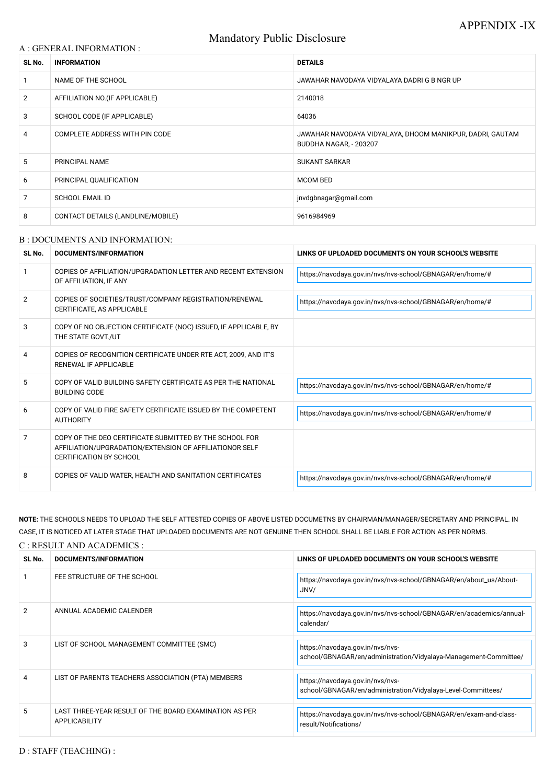# Mandatory Public Disclosure

#### A : GENERAL INFORMATION :

| SL No.          | <b>INFORMATION</b>                | <b>DETAILS</b>                                                                      |  |
|-----------------|-----------------------------------|-------------------------------------------------------------------------------------|--|
|                 | NAME OF THE SCHOOL                | JAWAHAR NAVODAYA VIDYALAYA DADRI G B NGR UP                                         |  |
| $\overline{2}$  | AFFILIATION NO. (IF APPLICABLE)   | 2140018                                                                             |  |
| 3               | SCHOOL CODE (IF APPLICABLE)       | 64036                                                                               |  |
| 4               | COMPLETE ADDRESS WITH PIN CODE    | JAWAHAR NAVODAYA VIDYALAYA, DHOOM MANIKPUR, DADRI, GAUTAM<br>BUDDHA NAGAR, - 203207 |  |
| $5\overline{)}$ | PRINCIPAL NAME                    | <b>SUKANT SARKAR</b>                                                                |  |
| 6               | PRINCIPAL QUALIFICATION           | <b>MCOM BED</b>                                                                     |  |
| 7               | <b>SCHOOL EMAIL ID</b>            | jnvdgbnagar@gmail.com                                                               |  |
| 8               | CONTACT DETAILS (LANDLINE/MOBILE) | 9616984969                                                                          |  |

#### B : DOCUMENTS AND INFORMATION:

| SL No.         | <b>DOCUMENTS/INFORMATION</b>                                                                                                                         | LINKS OF UPLOADED DOCUMENTS ON YOUR SCHOOL'S WEBSITE     |  |
|----------------|------------------------------------------------------------------------------------------------------------------------------------------------------|----------------------------------------------------------|--|
|                | COPIES OF AFFILIATION/UPGRADATION LETTER AND RECENT EXTENSION<br>OF AFFILIATION, IF ANY                                                              | https://navodaya.gov.in/nvs/nvs-school/GBNAGAR/en/home/# |  |
| $\overline{2}$ | COPIES OF SOCIETIES/TRUST/COMPANY REGISTRATION/RENEWAL<br>CERTIFICATE, AS APPLICABLE                                                                 | https://navodaya.gov.in/nvs/nvs-school/GBNAGAR/en/home/# |  |
| 3              | COPY OF NO OBJECTION CERTIFICATE (NOC) ISSUED, IF APPLICABLE, BY<br>THE STATE GOVT./UT                                                               |                                                          |  |
| 4              | COPIES OF RECOGNITION CERTIFICATE UNDER RTE ACT, 2009, AND IT'S<br><b>RENEWAL IF APPLICABLE</b>                                                      |                                                          |  |
| 5              | COPY OF VALID BUILDING SAFETY CERTIFICATE AS PER THE NATIONAL<br><b>BUILDING CODE</b>                                                                | https://navodaya.gov.in/nvs/nvs-school/GBNAGAR/en/home/# |  |
| 6              | COPY OF VALID FIRE SAFETY CERTIFICATE ISSUED BY THE COMPETENT<br><b>AUTHORITY</b>                                                                    | https://navodaya.gov.in/nvs/nvs-school/GBNAGAR/en/home/# |  |
| 7              | COPY OF THE DEO CERTIFICATE SUBMITTED BY THE SCHOOL FOR<br>AFFILIATION/UPGRADATION/EXTENSION OF AFFILIATIONOR SELF<br><b>CERTIFICATION BY SCHOOL</b> |                                                          |  |
| 8              | COPIES OF VALID WATER, HEALTH AND SANITATION CERTIFICATES                                                                                            | https://navodaya.gov.in/nvs/nvs-school/GBNAGAR/en/home/# |  |

|                |                                                                         | .                                                                                                    |
|----------------|-------------------------------------------------------------------------|------------------------------------------------------------------------------------------------------|
| $\overline{2}$ | ANNUAL ACADEMIC CALENDER                                                | https://navodaya.gov.in/nvs/nvs-school/GBNAGAR/en/academics/annual-<br>calendar/                     |
| 3              | LIST OF SCHOOL MANAGEMENT COMMITTEE (SMC)                               | https://navodaya.gov.in/nvs/nvs-<br>school/GBNAGAR/en/administration/Vidyalaya-Management-Committee/ |
| 4              | LIST OF PARENTS TEACHERS ASSOCIATION (PTA) MEMBERS                      | https://navodaya.gov.in/nvs/nvs-<br>school/GBNAGAR/en/administration/Vidyalaya-Level-Committees/     |
| 5              | LAST THREE-YEAR RESULT OF THE BOARD EXAMINATION AS PER<br>APPLICABILITY | https://navodaya.gov.in/nvs/nvs-school/GBNAGAR/en/exam-and-class-<br>result/Notifications/           |

**NOTE:** THE SCHOOLS NEEDS TO UPLOAD THE SELF ATTESTED COPIES OF ABOVE LISTED DOCUMETNS BY CHAIRMAN/MANAGER/SECRETARY AND PRINCIPAL. IN CASE, IT IS NOTICED AT LATER STAGE THAT UPLOADED DOCUMENTS ARE NOT GENUINE THEN SCHOOL SHALL BE LIABLE FOR ACTION AS PER NORMS.

#### C : RESULT AND ACADEMICS :

| SL No. | DOCUMENTS/INFORMATION       | LINKS OF UPLOADED DOCUMENTS ON YOUR SCHOOL'S WEBSITE                                  |
|--------|-----------------------------|---------------------------------------------------------------------------------------|
|        | FEE STRUCTURE OF THE SCHOOL | https://navodaya.gov.in/nvs/nvs-school/GBNAGAR/en/about_us/About-<br>JNV <sub>i</sub> |

D : STAFF (TEACHING) :